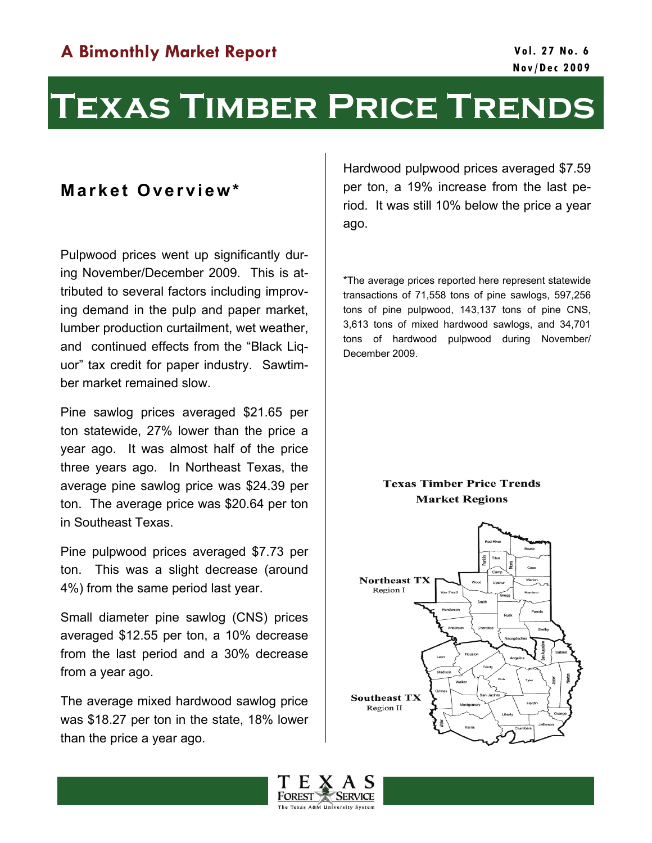# **Texas Timber Price Trends**

### **Market Overview\***

Pulpwood prices went up significantly during November/December 2009. This is attributed to several factors including improving demand in the pulp and paper market, lumber production curtailment, wet weather, and continued effects from the "Black Liquor" tax credit for paper industry. Sawtimber market remained slow.

Pine sawlog prices averaged \$21.65 per ton statewide, 27% lower than the price a year ago. It was almost half of the price three years ago. In Northeast Texas, the average pine sawlog price was \$24.39 per ton. The average price was \$20.64 per ton in Southeast Texas.

Pine pulpwood prices averaged \$7.73 per ton. This was a slight decrease (around 4%) from the same period last year.

Small diameter pine sawlog (CNS) prices averaged \$12.55 per ton, a 10% decrease from the last period and a 30% decrease from a year ago.

The average mixed hardwood sawlog price was \$18.27 per ton in the state, 18% lower than the price a year ago.

Hardwood pulpwood prices averaged \$7.59 per ton, a 19% increase from the last period. It was still 10% below the price a year ago.

\*The average prices reported here represent statewide transactions of 71,558 tons of pine sawlogs, 597,256 tons of pine pulpwood, 143,137 tons of pine CNS, 3,613 tons of mixed hardwood sawlogs, and 34,701 tons of hardwood pulpwood during November/ December 2009.

#### **Texas Timber Price Trends Market Regions**



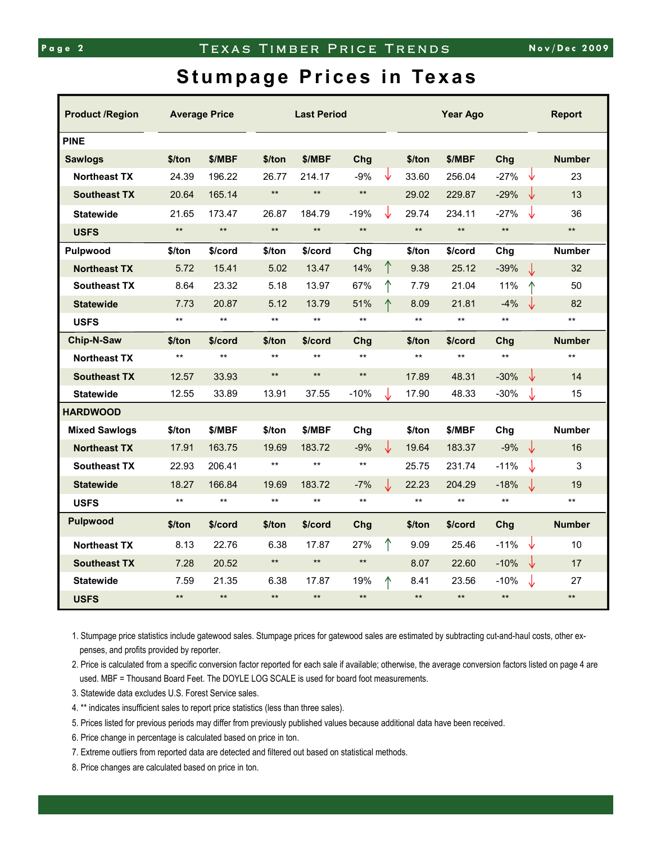## **Stumpage Prices in Texas**

| <b>Product /Region</b> |              | <b>Average Price</b> | <b>Last Period</b> |              |              |    | <b>Year Ago</b> |              |              | <b>Report</b> |
|------------------------|--------------|----------------------|--------------------|--------------|--------------|----|-----------------|--------------|--------------|---------------|
| <b>PINE</b>            |              |                      |                    |              |              |    |                 |              |              |               |
| <b>Sawlogs</b>         | \$/ton       | \$/MBF               | \$/ton             | \$/MBF       | Chg          |    | \$/ton          | \$/MBF       | Chg          | <b>Number</b> |
| <b>Northeast TX</b>    | 24.39        | 196.22               | 26.77              | 214.17       | $-9%$        | V  | 33.60           | 256.04       | $-27%$<br>∿  | 23            |
| <b>Southeast TX</b>    | 20.64        | 165.14               | $\star\star$       | $\star\star$ | $\star\star$ |    | 29.02           | 229.87       | $-29%$<br>↓  | 13            |
| <b>Statewide</b>       | 21.65        | 173.47               | 26.87              | 184.79       | $-19%$       | Jz | 29.74           | 234.11       | $-27%$<br>↓  | 36            |
| <b>USFS</b>            | $**$         | $\star\star$         | $\star\star$       | $\star\star$ | $\star\star$ |    | $\star\star$    | $\star\star$ | $\star\star$ | $**$          |
| Pulpwood               | \$/ton       | \$/cord              | \$/ton             | \$/cord      | Chg          |    | \$/ton          | \$/cord      | Chg          | <b>Number</b> |
| <b>Northeast TX</b>    | 5.72         | 15.41                | 5.02               | 13.47        | 14%          | ↑  | 9.38            | 25.12        | $-39%$<br>J  | 32            |
| <b>Southeast TX</b>    | 8.64         | 23.32                | 5.18               | 13.97        | 67%          |    | 7.79            | 21.04        | 11%          | 50            |
| <b>Statewide</b>       | 7.73         | 20.87                | 5.12               | 13.79        | 51%          | ↑  | 8.09            | 21.81        | $-4%$        | 82<br>₩       |
| <b>USFS</b>            | $**$         | $***$                | $***$              | $\star\star$ | $***$        |    | $\star\star$    | $***$        | $**$         | $\star\star$  |
| Chip-N-Saw             | \$/ton       | \$/cord              | \$/ton             | \$/cord      | Chg          |    | \$/ton          | \$/cord      | Chg          | <b>Number</b> |
| <b>Northeast TX</b>    | $\star\star$ | $\star\star$         | $\star\star$       | $\star\star$ | $***$        |    | $***$           | $***$        | $\star\star$ | $***$         |
| <b>Southeast TX</b>    | 12.57        | 33.93                | $\star\star$       | $**$         | $\star\star$ |    | 17.89           | 48.31        | ↓<br>$-30%$  | 14            |
| <b>Statewide</b>       | 12.55        | 33.89                | 13.91              | 37.55        | $-10%$       |    | 17.90           | 48.33        | $-30%$<br>J  | 15            |
| <b>HARDWOOD</b>        |              |                      |                    |              |              |    |                 |              |              |               |
| <b>Mixed Sawlogs</b>   | \$/ton       | \$/MBF               | \$/ton             | \$/MBF       | Chg          |    | \$/ton          | \$/MBF       | Chg          | <b>Number</b> |
| <b>Northeast TX</b>    | 17.91        | 163.75               | 19.69              | 183.72       | $-9%$        | ↓  | 19.64           | 183.37       | $-9%$<br>↓   | 16            |
| <b>Southeast TX</b>    | 22.93        | 206.41               | $***$              | $***$        | $***$        |    | 25.75           | 231.74       | $-11%$<br>↓  | 3             |
| <b>Statewide</b>       | 18.27        | 166.84               | 19.69              | 183.72       | $-7%$        | J  | 22.23           | 204.29       | $-18%$<br>J  | 19            |
| <b>USFS</b>            | $***$        | $***$                | $***$              | $\star\star$ | $***$        |    | $***$           | $***$        | $**$         | $***$         |
| <b>Pulpwood</b>        | \$/ton       | \$/cord              | \$/ton             | \$/cord      | Chg          |    | \$/ton          | \$/cord      | Chg          | <b>Number</b> |
| <b>Northeast TX</b>    | 8.13         | 22.76                | 6.38               | 17.87        | 27%          |    | 9.09            | 25.46        | $-11%$<br>∿  | 10            |
| <b>Southeast TX</b>    | 7.28         | 20.52                | $***$              | $\star\star$ | $***$        |    | 8.07            | 22.60        | $-10%$<br>↓  | 17            |
| <b>Statewide</b>       | 7.59         | 21.35                | 6.38               | 17.87        | 19%          |    | 8.41            | 23.56        | $-10%$<br>J  | 27            |
| <b>USFS</b>            | $***$        | $\star\star$         | $\star\star$       | $**$         | $***$        |    | $**$            | $***$        | $**$         | $**$          |

1. Stumpage price statistics include gatewood sales. Stumpage prices for gatewood sales are estimated by subtracting cut-and-haul costs, other expenses, and profits provided by reporter.

2. Price is calculated from a specific conversion factor reported for each sale if available; otherwise, the average conversion factors listed on page 4 are used. MBF = Thousand Board Feet. The DOYLE LOG SCALE is used for board foot measurements.

3. Statewide data excludes U.S. Forest Service sales.

4. \*\* indicates insufficient sales to report price statistics (less than three sales).

5. Prices listed for previous periods may differ from previously published values because additional data have been received.

6. Price change in percentage is calculated based on price in ton.

7. Extreme outliers from reported data are detected and filtered out based on statistical methods.

8. Price changes are calculated based on price in ton.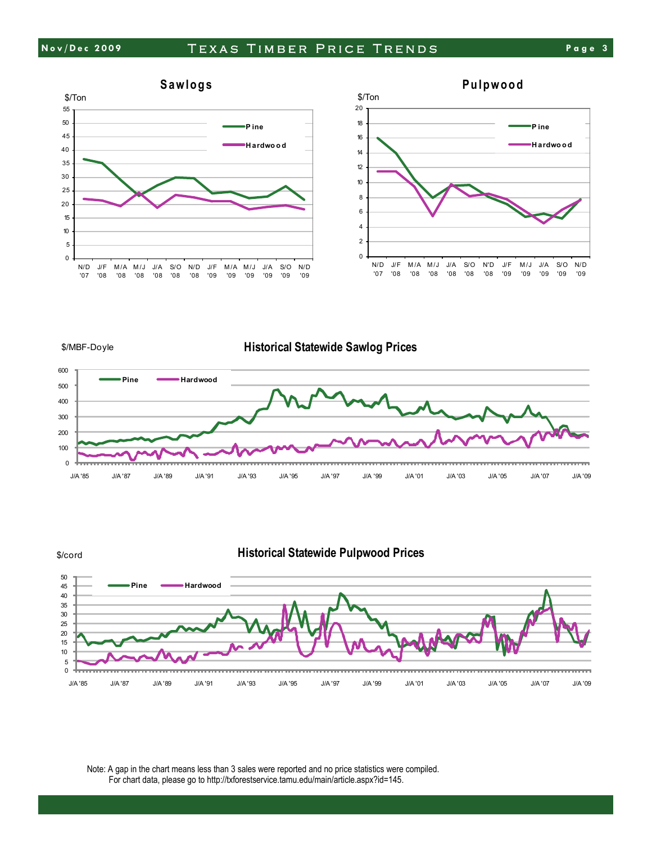





Note: A gap in the chart means less than 3 sales were reported and no price statistics were compiled. For chart data, please go to http://txforestservice.tamu.edu/main/article.aspx?id=145.